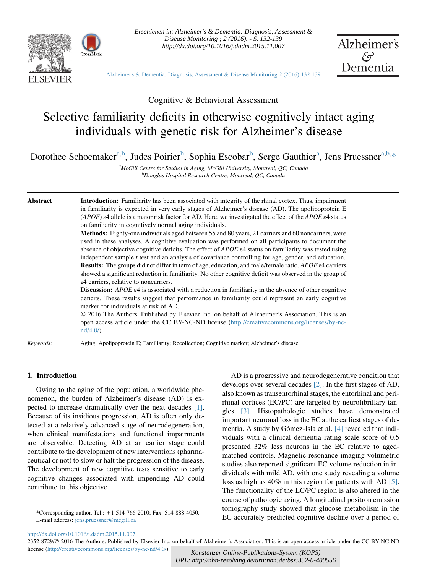

*Erschienen in: Alzheimer's & Dementia: Diagnosis, Assessment & Disease Monitoring ; 2 (2016). - S. 132-139 http://dx.doi.org/10.1016/j.dadm.2015.11.007* 



[Alzheimer's & Dementia: Diagnosis, Assessment & Disease Monitoring 2 \(2016\) 132-139](http://dx.doi.org/10.1016/j.dadm.2015.11.007)

Cognitive & Behavioral Assessment

# Selective familiarity deficits in otherwise cognitively intact aging individuals with genetic risk for Alzheimer's disease

Dorothee Schoemaker<sup>a,b</sup>, Judes Poirier<sup>b</sup>, Sophia Escobar<sup>b</sup>, Serge Gauthier<sup>a</sup>, Jens Pruessner<sup>a,b,\*</sup>

<sup>a</sup>McGill Centre for Studies in Aging, McGill University, Montreal, QC, Canada <sup>b</sup>Douglas Hospital Research Centre, Montreal, QC, Canada

Abstract Introduction: Familiarity has been associated with integrity of the rhinal cortex. Thus, impairment in familiarity is expected in very early stages of Alzheimer's disease (AD). The apolipoprotein E (APOE)  $\varepsilon$ 4 allele is a major risk factor for AD. Here, we investigated the effect of the APOE  $\varepsilon$ 4 status on familiarity in cognitively normal aging individuals.

> Methods: Eighty-one individuals aged between 55 and 80 years, 21 carriers and 60 noncarriers, were used in these analyses. A cognitive evaluation was performed on all participants to document the absence of objective cognitive deficits. The effect of APOE ε4 status on familiarity was tested using independent sample  $t$  test and an analysis of covariance controlling for age, gender, and education. Results: The groups did not differ in term of age, education, and male/female ratio. APOE ε4 carriers showed a significant reduction in familiarity. No other cognitive deficit was observed in the group of ε4 carriers, relative to noncarriers.

> **Discussion:** APOE  $\varepsilon$ 4 is associated with a reduction in familiarity in the absence of other cognitive deficits. These results suggest that performance in familiarity could represent an early cognitive marker for individuals at risk of AD.

> 2016 The Authors. Published by Elsevier Inc. on behalf of Alzheimer's Association. This is an open access article under the CC BY-NC-ND license [\(http://creativecommons.org/licenses/by-nc](http://creativecommons.org/licenses/by-nc-nd/4.0/)[nd/4.0/\)](http://creativecommons.org/licenses/by-nc-nd/4.0/).

Keywords: Aging; Apolipoprotein E; Familiarity; Recollection; Cognitive marker; Alzheimer's disease

## 1. Introduction

Owing to the aging of the population, a worldwide phenomenon, the burden of Alzheimer's disease (AD) is expected to increase dramatically over the next decades [\[1\].](#page-6-0) Because of its insidious progression, AD is often only detected at a relatively advanced stage of neurodegeneration, when clinical manifestations and functional impairments are observable. Detecting AD at an earlier stage could contribute to the development of new interventions (pharmaceutical or not) to slow or halt the progression of the disease. The development of new cognitive tests sensitive to early cognitive changes associated with impending AD could contribute to this objective.

AD is a progressive and neurodegenerative condition that develops over several decades [\[2\].](#page-6-0) In the first stages of AD, also known as transentorhinal stages, the entorhinal and perirhinal cortices (EC/PC) are targeted by neurofibrillary tangles [\[3\].](#page-6-0) Histopathologic studies have demonstrated important neuronal loss in the EC at the earliest stages of de-mentia. A study by Gómez-Isla et al. [\[4\]](#page-6-0) revealed that individuals with a clinical dementia rating scale score of 0.5 presented 32% less neurons in the EC relative to agedmatched controls. Magnetic resonance imaging volumetric studies also reported significant EC volume reduction in individuals with mild AD, with one study revealing a volume loss as high as 40% in this region for patients with AD [\[5\].](#page-6-0) The functionality of the EC/PC region is also altered in the course of pathologic aging. A longitudinal positron emission tomography study showed that glucose metabolism in the EC accurately predicted cognitive decline over a period of \*Corresponding author. Tel.: <sup>1</sup>1-514-766-2010; Fax: 514-888-4050.

<http://dx.doi.org/10.1016/j.dadm.2015.11.007>

*Konstanzer Online-Publikations-System (KOPS) URL: http://nbn-resolving.de/urn:nbn:de:bsz:352-0-400556*

E-mail address: [jens.pruessner@mcgill.ca](mailto:jens.pruessner@mcgill.ca)

<sup>2352-8729/© 2016</sup> The Authors. Published by Elsevier Inc. on behalf of Alzheimer's Association. This is an open access article under the CC BY-NC-ND license ([http://creativecommons.org/licenses/by-nc-nd/4.0/\)](http://creativecommons.org/licenses/by-nc-nd/4.0/).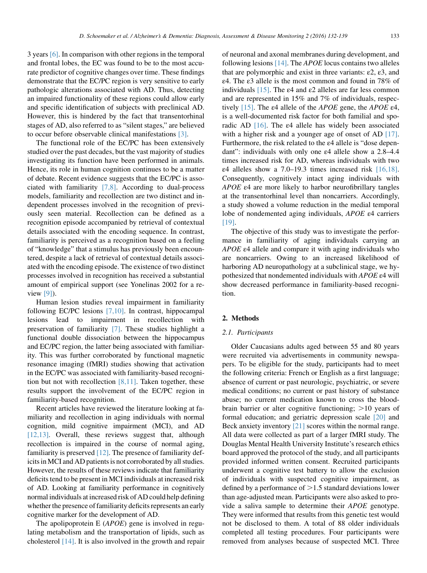3 years [\[6\].](#page-6-0) In comparison with other regions in the temporal and frontal lobes, the EC was found to be to the most accurate predictor of cognitive changes over time. These findings demonstrate that the EC/PC region is very sensitive to early pathologic alterations associated with AD. Thus, detecting an impaired functionality of these regions could allow early and specific identification of subjects with preclinical AD. However, this is hindered by the fact that transentorhinal stages of AD, also referred to as "silent stages," are believed to occur before observable clinical manifestations [\[3\]](#page-6-0).

The functional role of the EC/PC has been extensively studied over the past decades, but the vast majority of studies investigating its function have been performed in animals. Hence, its role in human cognition continues to be a matter of debate. Recent evidence suggests that the EC/PC is associated with familiarity [\[7,8\].](#page-7-0) According to dual-process models, familiarity and recollection are two distinct and independent processes involved in the recognition of previously seen material. Recollection can be defined as a recognition episode accompanied by retrieval of contextual details associated with the encoding sequence. In contrast, familiarity is perceived as a recognition based on a feeling of "knowledge" that a stimulus has previously been encountered, despite a lack of retrieval of contextual details associated with the encoding episode. The existence of two distinct processes involved in recognition has received a substantial amount of empirical support (see Yonelinas 2002 for a review [\[9\]\)](#page-7-0).

Human lesion studies reveal impairment in familiarity following EC/PC lesions [\[7,10\]](#page-7-0). In contrast, hippocampal lesions lead to impairment in recollection with preservation of familiarity [\[7\]](#page-7-0). These studies highlight a functional double dissociation between the hippocampus and EC/PC region, the latter being associated with familiarity. This was further corroborated by functional magnetic resonance imaging (fMRI) studies showing that activation in the EC/PC was associated with familiarity-based recognition but not with recollection  $[8,11]$ . Taken together, these results support the involvement of the EC/PC region in familiarity-based recognition.

Recent articles have reviewed the literature looking at familiarity and recollection in aging individuals with normal cognition, mild cognitive impairment (MCI), and AD [\[12,13\].](#page-7-0) Overall, these reviews suggest that, although recollection is impaired in the course of normal aging, familiarity is preserved [\[12\].](#page-7-0) The presence of familiarity deficits in MCI and AD patients is not corroborated by all studies. However, the results of these reviews indicate that familiarity deficits tend to be present in MCI individuals at increased risk of AD. Looking at familiarity performance in cognitively normal individuals at increased risk of AD could help defining whether the presence of familiarity deficits represents an early cognitive marker for the development of AD.

The apolipoprotein  $E$  ( $APOE$ ) gene is involved in regulating metabolism and the transportation of lipids, such as cholesterol [\[14\]](#page-7-0). It is also involved in the growth and repair of neuronal and axonal membranes during development, and following lesions [\[14\]](#page-7-0). The APOE locus contains two alleles that are polymorphic and exist in three variants:  $\varepsilon$ 2,  $\varepsilon$ 3, and ε4. The ε3 allele is the most common and found in 78% of individuals  $[15]$ . The  $\varepsilon$ 4 and  $\varepsilon$ 2 alleles are far less common and are represented in 15% and 7% of individuals, respec-tively [\[15\]](#page-7-0). The ε4 allele of the *APOE* gene, the *APOE* ε4, is a well-documented risk factor for both familial and sporadic AD [\[16\]](#page-7-0). The ε4 allele has widely been associated with a higher risk and a younger age of onset of AD [\[17\].](#page-7-0) Furthermore, the risk related to the ε4 allele is "dose dependant": individuals with only one ε4 allele show a 2.8–4.4 times increased risk for AD, whereas individuals with two  $\varepsilon$ 4 alleles show a 7.0–19.3 times increased risk [\[16,18\].](#page-7-0) Consequently, cognitively intact aging individuals with APOE ε4 are more likely to harbor neurofibrillary tangles at the transentorhinal level than noncarriers. Accordingly, a study showed a volume reduction in the medial temporal lobe of nondemented aging individuals, APOE ε4 carriers [\[19\].](#page-7-0)

The objective of this study was to investigate the performance in familiarity of aging individuals carrying an APOE ε4 allele and compare it with aging individuals who are noncarriers. Owing to an increased likelihood of harboring AD neuropathology at a subclinical stage, we hypothesized that nondemented individuals with APOE ε4 will show decreased performance in familiarity-based recognition.

#### 2. Methods

#### 2.1. Participants

Older Caucasians adults aged between 55 and 80 years were recruited via advertisements in community newspapers. To be eligible for the study, participants had to meet the following criteria: French or English as a first language; absence of current or past neurologic, psychiatric, or severe medical conditions; no current or past history of substance abuse; no current medication known to cross the bloodbrain barrier or alter cognitive functioning;  $>10$  years of formal education; and geriatric depression scale [\[20\]](#page-7-0) and Beck anxiety inventory [\[21\]](#page-7-0) scores within the normal range. All data were collected as part of a larger fMRI study. The Douglas Mental Health University Institute's research ethics board approved the protocol of the study, and all participants provided informed written consent. Recruited participants underwent a cognitive test battery to allow the exclusion of individuals with suspected cognitive impairment, as defined by a performance of  $>1.5$  standard deviations lower than age-adjusted mean. Participants were also asked to provide a saliva sample to determine their APOE genotype. They were informed that results from this genetic test would not be disclosed to them. A total of 88 older individuals completed all testing procedures. Four participants were removed from analyses because of suspected MCI. Three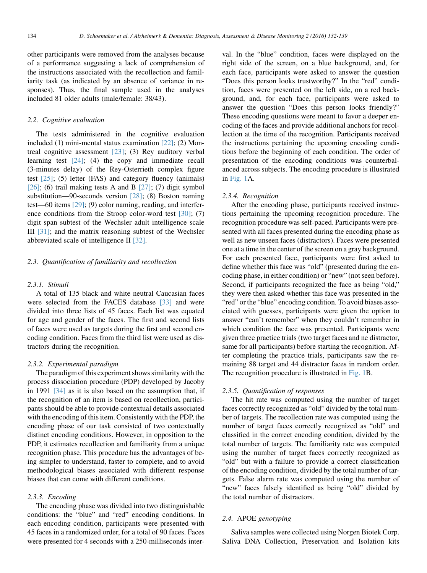other participants were removed from the analyses because of a performance suggesting a lack of comprehension of the instructions associated with the recollection and familiarity task (as indicated by an absence of variance in responses). Thus, the final sample used in the analyses included 81 older adults (male/female: 38/43).

#### 2.2. Cognitive evaluation

The tests administered in the cognitive evaluation included (1) mini-mental status examination [\[22\]](#page-7-0); (2) Montreal cognitive assessment  $[23]$ ; (3) Rey auditory verbal learning test [\[24\];](#page-7-0) (4) the copy and immediate recall (3-minutes delay) of the Rey-Osterrieth complex figure test  $[25]$ ; (5) letter (FAS) and category fluency (animals) [\[26\];](#page-7-0) (6) trail making tests A and B [\[27\];](#page-7-0) (7) digit symbol substitution—90-seconds version [\[28\]](#page-7-0); (8) Boston naming test—60 items [\[29\]](#page-7-0); (9) color naming, reading, and interference conditions from the Stroop color-word test  $[30]$ ; (7) digit span subtest of the Wechsler adult intelligence scale III [\[31\]](#page-7-0); and the matrix reasoning subtest of the Wechsler abbreviated scale of intelligence II [\[32\].](#page-7-0)

# 2.3. Quantification of familiarity and recollection

#### 2.3.1. Stimuli

A total of 135 black and white neutral Caucasian faces were selected from the FACES database [\[33\]](#page-7-0) and were divided into three lists of 45 faces. Each list was equated for age and gender of the faces. The first and second lists of faces were used as targets during the first and second encoding condition. Faces from the third list were used as distractors during the recognition.

#### 2.3.2. Experimental paradigm

The paradigm of this experiment shows similarity with the process dissociation procedure (PDP) developed by Jacoby in 1991 [\[34\]](#page-7-0) as it is also based on the assumption that, if the recognition of an item is based on recollection, participants should be able to provide contextual details associated with the encoding of this item. Consistently with the PDP, the encoding phase of our task consisted of two contextually distinct encoding conditions. However, in opposition to the PDP, it estimates recollection and familiarity from a unique recognition phase. This procedure has the advantages of being simpler to understand, faster to complete, and to avoid methodological biases associated with different response biases that can come with different conditions.

#### 2.3.3. Encoding

The encoding phase was divided into two distinguishable conditions: the "blue" and "red" encoding conditions. In each encoding condition, participants were presented with 45 faces in a randomized order, for a total of 90 faces. Faces were presented for 4 seconds with a 250-milliseconds interval. In the "blue" condition, faces were displayed on the right side of the screen, on a blue background, and, for each face, participants were asked to answer the question "Does this person looks trustworthy?" In the "red" condition, faces were presented on the left side, on a red background, and, for each face, participants were asked to answer the question "Does this person looks friendly?" These encoding questions were meant to favor a deeper encoding of the faces and provide additional anchors for recollection at the time of the recognition. Participants received the instructions pertaining the upcoming encoding conditions before the beginning of each condition. The order of presentation of the encoding conditions was counterbalanced across subjects. The encoding procedure is illustrated in [Fig. 1](#page-3-0)A.

#### 2.3.4. Recognition

After the encoding phase, participants received instructions pertaining the upcoming recognition procedure. The recognition procedure was self-paced. Participants were presented with all faces presented during the encoding phase as well as new unseen faces (distractors). Faces were presented one at a time in the center of the screen on a gray background. For each presented face, participants were first asked to define whether this face was "old" (presented during the encoding phase, in either condition) or "new" (not seen before). Second, if participants recognized the face as being "old," they were then asked whether this face was presented in the "red" or the "blue" encoding condition. To avoid biases associated with guesses, participants were given the option to answer "can't remember" when they couldn't remember in which condition the face was presented. Participants were given three practice trials (two target faces and ne distractor, same for all participants) before starting the recognition. After completing the practice trials, participants saw the remaining 88 target and 44 distractor faces in random order. The recognition procedure is illustrated in [Fig. 1](#page-3-0)B.

#### 2.3.5. Quantification of responses

The hit rate was computed using the number of target faces correctly recognized as "old" divided by the total number of targets. The recollection rate was computed using the number of target faces correctly recognized as "old" and classified in the correct encoding condition, divided by the total number of targets. The familiarity rate was computed using the number of target faces correctly recognized as "old" but with a failure to provide a correct classification of the encoding condition, divided by the total number of targets. False alarm rate was computed using the number of "new" faces falsely identified as being "old" divided by the total number of distractors.

## 2.4. APOE genotyping

Saliva samples were collected using Norgen Biotek Corp. Saliva DNA Collection, Preservation and Isolation kits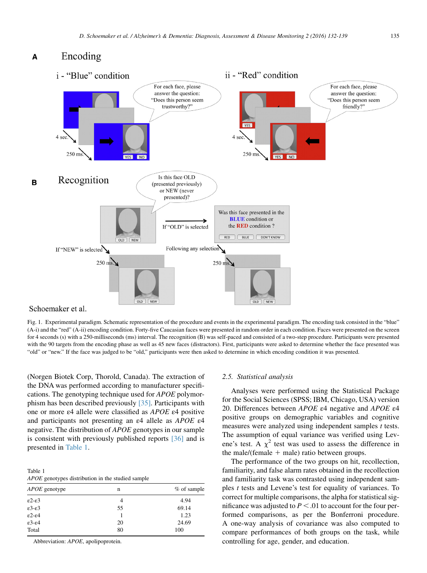#### <span id="page-3-0"></span>Encoding A



Schoemaker et al.

Fig. 1. Experimental paradigm. Schematic representation of the procedure and events in the experimental paradigm. The encoding task consisted in the "blue" (A-i) and the "red" (A-ii) encoding condition. Forty-five Caucasian faces were presented in random order in each condition. Faces were presented on the screen for 4 seconds (s) with a 250-milliseconds (ms) interval. The recognition (B) was self-paced and consisted of a two-step procedure. Participants were presented with the 90 targets from the encoding phase as well as 45 new faces (distractors). First, participants were asked to determine whether the face presented was "old" or "new." If the face was judged to be "old," participants were then asked to determine in which encoding condition it was presented.

(Norgen Biotek Corp, Thorold, Canada). The extraction of the DNA was performed according to manufacturer specifications. The genotyping technique used for APOE polymorphism has been described previously [\[35\]](#page-7-0). Participants with one or more ε4 allele were classified as APOE ε4 positive and participants not presenting an ε4 allele as APOE ε4 negative. The distribution of APOE genotypes in our sample is consistent with previously published reports [\[36\]](#page-7-0) and is presented in Table 1.

Table 1 APOE genotypes distribution in the studied sample

| <i>APOE</i> genotype       | n  | % of sample |  |
|----------------------------|----|-------------|--|
| $\epsilon$ 2- $\epsilon$ 3 | 4  | 4.94        |  |
| $\epsilon$ 3- $\epsilon$ 3 | 55 | 69.14       |  |
| $\epsilon$ 2- $\epsilon$ 4 |    | 1.23        |  |
| $\epsilon$ 3- $\epsilon$ 4 | 20 | 24.69       |  |
| Total                      | 80 | 100         |  |

Abbreviation: APOE, apolipoprotein.

#### 2.5. Statistical analysis

Analyses were performed using the Statistical Package for the Social Sciences (SPSS; IBM, Chicago, USA) version 20. Differences between APOE ε4 negative and APOE ε4 positive groups on demographic variables and cognitive measures were analyzed using independent samples t tests. The assumption of equal variance was verified using Levene's test. A  $\chi^2$  test was used to assess the difference in the male/(female  $+$  male) ratio between groups.

The performance of the two groups on hit, recollection, familiarity, and false alarm rates obtained in the recollection and familiarity task was contrasted using independent samples t tests and Levene's test for equality of variances. To correct for multiple comparisons, the alpha for statistical significance was adjusted to  $P < .01$  to account for the four performed comparisons, as per the Bonferroni procedure. A one-way analysis of covariance was also computed to compare performances of both groups on the task, while controlling for age, gender, and education.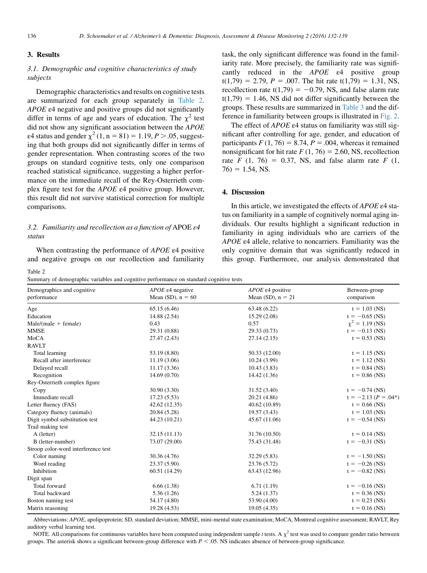# 3. Results

# 3.1. Demographic and cognitive characteristics of study subjects

Demographic characteristics and results on cognitive tests are summarized for each group separately in Table 2. APOE  $\epsilon$ 4 negative and positive groups did not significantly differ in terms of age and years of education. The  $\chi^2$  test did not show any significant association between the APOE ε4 status and gender  $\chi^2$  (1, n = 81) = 1.19, P > .05, suggesting that both groups did not significantly differ in terms of gender representation. When contrasting scores of the two groups on standard cognitive tests, only one comparison reached statistical significance, suggesting a higher performance on the immediate recall of the Rey-Osterrieth complex figure test for the APOE ε4 positive group. However, this result did not survive statistical correction for multiple comparisons.

# 3.2. Familiarity and recollection as a function of APOE  $\varepsilon$ 4 status

When contrasting the performance of APOE ε4 positive and negative groups on our recollection and familiarity task, the only significant difference was found in the familiarity rate. More precisely, the familiarity rate was significantly reduced in the  $APOE$   $\varepsilon$ <sup>4</sup> positive group  $t(1,79) = 2.79$ ,  $P = .007$ . The hit rate  $t(1,79) = 1.31$ , NS, recollection rate  $t(1,79) = -0.79$ , NS, and false alarm rate  $t(1,79) = 1.46$ , NS did not differ significantly between the groups. These results are summarized in [Table 3](#page-5-0) and the difference in familiarity between groups is illustrated in [Fig. 2.](#page-5-0)

The effect of APOE ε4 status on familiarity was still significant after controlling for age, gender, and education of participants  $F(1, 76) = 8.74$ ,  $P = .004$ , whereas it remained nonsignificant for hit rate  $F(1, 76) = 2.60$ , NS, recollection rate F (1, 76) = 0.37, NS, and false alarm rate F (1,  $76$ ) = 1.54, NS.

# 4. Discussion

In this article, we investigated the effects of APOE ε4 status on familiarity in a sample of cognitively normal aging individuals. Our results highlight a significant reduction in familiarity in aging individuals who are carriers of the APOE ε4 allele, relative to noncarriers. Familiarity was the only cognitive domain that was significantly reduced in this group. Furthermore, our analysis demonstrated that

#### Table 2

Summary of demographic variables and cognitive performance on standard cognitive tests

| Demographics and cognitive          | $APOE$ $\varepsilon$ 4 negative | $APOE$ $\varepsilon$ 4 positive | Between-group           |
|-------------------------------------|---------------------------------|---------------------------------|-------------------------|
| performance                         | Mean (SD), $n = 60$             | Mean (SD), $n = 21$             | comparison              |
| Age                                 | 65.15 (6.46)                    | 63.48 (6.22)                    | $t = 1.03$ (NS)         |
| Education                           | 14.88 (2.54)                    | 15.29 (2.08)                    | $t = -0.65$ (NS)        |
| $Male/(male + female)$              | 0.43                            | 0.57                            | $\chi^2 = 1.19$ (NS)    |
| <b>MMSE</b>                         | 29.31 (0.88)                    | 29.33 (0.73)                    | $t = -0.13$ (NS)        |
| MoCA                                | 27.47 (2.43)                    | 27.14(2.15)                     | $t = 0.53$ (NS)         |
| <b>RAVLT</b>                        |                                 |                                 |                         |
| Total learning                      | 53.19 (8.80)                    | 50.33 (12.00)                   | $t = 1.15$ (NS)         |
| Recall after interference           | 11.19(3.06)                     | 10.24 (3.99)                    | $t = 1.12$ (NS)         |
| Delayed recall                      | 11.17(3.36)                     | 10.43(3.83)                     | $t = 0.84$ (NS)         |
| Recognition                         | 14.69(0.70)                     | 14.42 (1.36)                    | $t = 0.86$ (NS)         |
| Rey-Osterrieth complex figure       |                                 |                                 |                         |
| Copy                                | 30.90 (3.30)                    | 31.52 (3.40)                    | $t = -0.74$ (NS)        |
| Immediate recall                    | 17.23(5.53)                     | 20.21 (4.86)                    | $t = -2.13 (P = .04^*)$ |
| Letter fluency (FAS)                | 42.62 (12.35)                   | 40.62 (10.89)                   | $t = 0.66$ (NS)         |
| Category fluency (animals)          | 20.84 (5.28)                    | 19.57 (3.43)                    | $t = 1.03$ (NS)         |
| Digit symbol substitution test      | 44.23 (10.21)                   | 45.67 (11.06)                   | $t = -0.54$ (NS)        |
| Trail making test                   |                                 |                                 |                         |
| A (letter)                          | 32.15 (11.13)                   | 31.76 (10.50)                   | $t = 0.14$ (NS)         |
| B (letter-number)                   | 73.07 (29.00)                   | 75.43 (31.48)                   | $t = -0.31$ (NS)        |
| Stroop color-word interference test |                                 |                                 |                         |
| Color naming                        | 30.36 (4.76)                    | 32.29(5.83)                     | $t = -1.50$ (NS)        |
| Word reading                        | 23.37 (5.90)                    | 23.76 (5.72)                    | $t = -0.26$ (NS)        |
| Inhibition                          | 60.51 (14.29)                   | 63.43 (12.96)                   | $t = -0.82$ (NS)        |
| Digit span                          |                                 |                                 |                         |
| Total forward                       | 6.66(1.38)                      | 6.71(1.19)                      | $t = -0.16$ (NS)        |
| Total backward                      | 5.36(1.26)                      | 5.24(1.37)                      | $t = 0.36$ (NS)         |
| Boston naming test                  | 54.17 (4.80)                    | 53.90 (4.00)                    | $t = 0.23$ (NS)         |
| Matrix reasoning                    | 19.28 (4.53)                    | 19.05 (4.35)                    | $t = 0.16$ (NS)         |

Abbreviations: APOE, apolipoprotein; SD, standard deviation; MMSE, mini-mental state examination; MoCA, Montreal cognitive assessment; RAVLT, Rey auditory verbal learning test.

NOTE. All comparisons for continuous variables have been computed using independent sample t tests. A  $\chi^2$  test was used to compare gender ratio between groups. The asterisk shows a significant between-group difference with  $P < 0.05$ . NS indicates absence of between-group significance.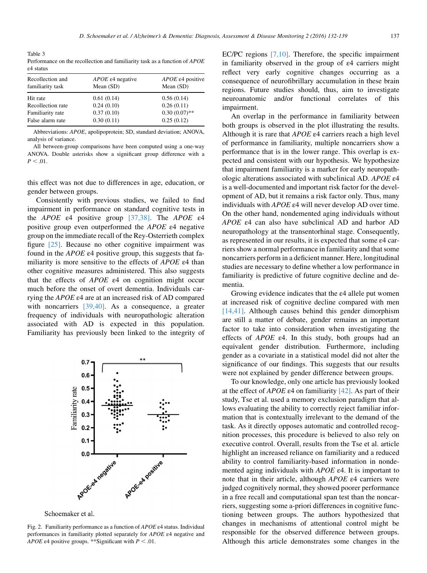<span id="page-5-0"></span>Table 3 Performance on the recollection and familiarity task as a function of APOE ε4 status

| Recollection and<br>familiarity task | <i>APOE</i> $\epsilon$ 4 negative<br>Mean $(SD)$ | APOE $\epsilon$ 4 positive<br>Mean $(SD)$ |
|--------------------------------------|--------------------------------------------------|-------------------------------------------|
| Hit rate                             | 0.61(0.14)                                       | 0.56(0.14)                                |
| Recollection rate                    | 0.24(0.10)                                       | 0.26(0.11)                                |
| Familiarity rate                     | 0.37(0.10)                                       | $0.30(0.07)$ **                           |
| False alarm rate                     | 0.30(0.11)                                       | 0.25(0.12)                                |

Abbreviations: APOE, apolipoprotein; SD, standard deviation; ANOVA, analysis of variance.

All between-group comparisons have been computed using a one-way ANOVA. Double asterisks show a significant group difference with a  $P < .01$ .

this effect was not due to differences in age, education, or gender between groups.

Consistently with previous studies, we failed to find impairment in performance on standard cognitive tests in the APOE  $\varepsilon$ 4 positive group [\[37,38\]](#page-7-0). The APOE  $\varepsilon$ 4 positive group even outperformed the  $APOE$   $\varepsilon$ 4 negative group on the immediate recall of the Rey-Osterrieth complex figure [\[25\].](#page-7-0) Because no other cognitive impairment was found in the  $APOE$  ε4 positive group, this suggests that familiarity is more sensitive to the effects of APOE ε4 than other cognitive measures administered. This also suggests that the effects of  $APOE$   $\varepsilon$ 4 on cognition might occur much before the onset of overt dementia. Individuals carrying the APOE ε4 are at an increased risk of AD compared with noncarriers [\[39,40\]](#page-7-0). As a consequence, a greater frequency of individuals with neuropathologic alteration associated with AD is expected in this population. Familiarity has previously been linked to the integrity of



Schoemaker et al.

Fig. 2. Familiarity performance as a function of  $APOE$   $\varepsilon$ 4 status. Individual performances in familiarity plotted separately for APOE ε4 negative and APOE  $\varepsilon$ 4 positive groups. \*\*Significant with  $P < .01$ .

EC/PC regions [\[7,10\]](#page-7-0). Therefore, the specific impairment in familiarity observed in the group of ε4 carriers might reflect very early cognitive changes occurring as a consequence of neurofibrillary accumulation in these brain regions. Future studies should, thus, aim to investigate neuroanatomic and/or functional correlates of this impairment.

An overlap in the performance in familiarity between both groups is observed in the plot illustrating the results. Although it is rare that  $APOE$   $\varepsilon$ 4 carriers reach a high level of performance in familiarity, multiple noncarriers show a performance that is in the lower range. This overlap is expected and consistent with our hypothesis. We hypothesize that impairment familiarity is a marker for early neuropathologic alterations associated with subclinical AD. APOE ε4 is a well-documented and important risk factor for the development of AD, but it remains a risk factor only. Thus, many individuals with APOE ε4 will never develop AD over time. On the other hand, nondemented aging individuals without APOE ε4 can also have subclinical AD and harbor AD neuropathology at the transentorhinal stage. Consequently, as represented in our results, it is expected that some ε4 carriers show a normal performance in familiarity and that some noncarriers perform in a deficient manner. Here, longitudinal studies are necessary to define whether a low performance in familiarity is predictive of future cognitive decline and dementia.

Growing evidence indicates that the ε4 allele put women at increased risk of cognitive decline compared with men [\[14,41\]](#page-7-0). Although causes behind this gender dimorphism are still a matter of debate, gender remains an important factor to take into consideration when investigating the effects of  $APOE$  ε4. In this study, both groups had an equivalent gender distribution. Furthermore, including gender as a covariate in a statistical model did not alter the significance of our findings. This suggests that our results were not explained by gender difference between groups.

To our knowledge, only one article has previously looked at the effect of  $APOE \epsilon 4$  on familiarity [\[42\].](#page-7-0) As part of their study, Tse et al. used a memory exclusion paradigm that allows evaluating the ability to correctly reject familiar information that is contextually irrelevant to the demand of the task. As it directly opposes automatic and controlled recognition processes, this procedure is believed to also rely on executive control. Overall, results from the Tse et al. article highlight an increased reliance on familiarity and a reduced ability to control familiarity-based information in nondemented aging individuals with APOE ε4. It is important to note that in their article, although APOE ε4 carriers were judged cognitively normal, they showed poorer performance in a free recall and computational span test than the noncarriers, suggesting some a-priori differences in cognitive functioning between groups. The authors hypothesized that changes in mechanisms of attentional control might be responsible for the observed difference between groups. Although this article demonstrates some changes in the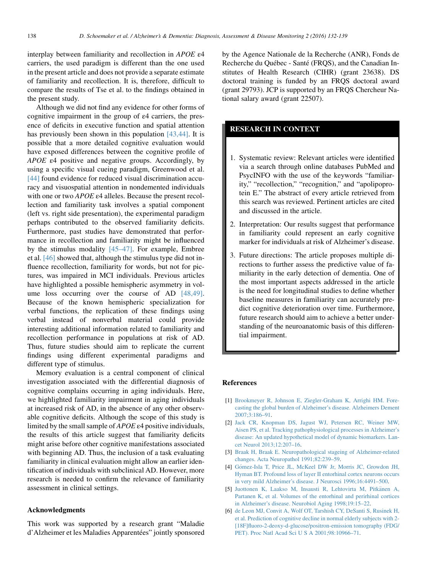<span id="page-6-0"></span>interplay between familiarity and recollection in APOE ε4 carriers, the used paradigm is different than the one used in the present article and does not provide a separate estimate of familiarity and recollection. It is, therefore, difficult to compare the results of Tse et al. to the findings obtained in the present study.

Although we did not find any evidence for other forms of cognitive impairment in the group of ε4 carriers, the presence of deficits in executive function and spatial attention has previously been shown in this population [\[43,44\]](#page-7-0). It is possible that a more detailed cognitive evaluation would have exposed differences between the cognitive profile of  $APOE$   $\varepsilon$ 4 positive and negative groups. Accordingly, by using a specific visual cueing paradigm, Greenwood et al. [\[44\]](#page-7-0) found evidence for reduced visual discrimination accuracy and visuospatial attention in nondemented individuals with one or two APOE ε4 alleles. Because the present recollection and familiarity task involves a spatial component (left vs. right side presentation), the experimental paradigm perhaps contributed to the observed familiarity deficits. Furthermore, past studies have demonstrated that performance in recollection and familiarity might be influenced by the stimulus modality  $[45-47]$ . For example, Embree et al. [\[46\]](#page-7-0) showed that, although the stimulus type did not influence recollection, familiarity for words, but not for pictures, was impaired in MCI individuals. Previous articles have highlighted a possible hemispheric asymmetry in volume loss occurring over the course of AD [\[48,49\].](#page-7-0) Because of the known hemispheric specialization for verbal functions, the replication of these findings using verbal instead of nonverbal material could provide interesting additional information related to familiarity and recollection performance in populations at risk of AD. Thus, future studies should aim to replicate the current findings using different experimental paradigms and different type of stimulus.

Memory evaluation is a central component of clinical investigation associated with the differential diagnosis of cognitive complains occurring in aging individuals. Here, we highlighted familiarity impairment in aging individuals at increased risk of AD, in the absence of any other observable cognitive deficits. Although the scope of this study is limited by the small sample of  $APOE$  ε4 positive individuals, the results of this article suggest that familiarity deficits might arise before other cognitive manifestations associated with beginning AD. Thus, the inclusion of a task evaluating familiarity in clinical evaluation might allow an earlier identification of individuals with subclinical AD. However, more research is needed to confirm the relevance of familiarity assessment in clinical settings.

#### Acknowledgments

This work was supported by a research grant "Maladie d'Alzheimer et les Maladies Apparentées" jointly sponsored by the Agence Nationale de la Recherche (ANR), Fonds de Recherche du Québec - Santé (FRQS), and the Canadian Institutes of Health Research (CIHR) (grant 23638). DS doctoral training is funded by an FRQS doctoral award (grant 29793). JCP is supported by an FRQS Chercheur National salary award (grant 22507).

# RESEARCH IN CONTEXT

- 1. Systematic review: Relevant articles were identified via a search through online databases PubMed and PsycINFO with the use of the keywords "familiarity," "recollection," "recognition," and "apolipoprotein E." The abstract of every article retrieved from this search was reviewed. Pertinent articles are cited and discussed in the article.
- 2. Interpretation: Our results suggest that performance in familiarity could represent an early cognitive marker for individuals at risk of Alzheimer's disease.
- 3. Future directions: The article proposes multiple directions to further assess the predictive value of familiarity in the early detection of dementia. One of the most important aspects addressed in the article is the need for longitudinal studies to define whether baseline measures in familiarity can accurately predict cognitive deterioration over time. Furthermore, future research should aim to achieve a better understanding of the neuroanatomic basis of this differential impairment.

#### References

- [1] [Brookmeyer R, Johnson E, Ziegler-Graham K, Arrighi HM. Fore](http://refhub.elsevier.com/S2352-8729(15)00091-3/sref1)[casting the global burden of Alzheimer's disease. Alzheimers Dement](http://refhub.elsevier.com/S2352-8729(15)00091-3/sref1) [2007;3:186–91](http://refhub.elsevier.com/S2352-8729(15)00091-3/sref1).
- [2] [Jack CR, Knopman DS, Jagust WJ, Petersen RC, Weiner MW,](http://refhub.elsevier.com/S2352-8729(15)00091-3/sref2) [Aisen PS, et al. Tracking pathophysiological processes in Alzheimer's](http://refhub.elsevier.com/S2352-8729(15)00091-3/sref2) [disease: An updated hypothetical model of dynamic biomarkers. Lan](http://refhub.elsevier.com/S2352-8729(15)00091-3/sref2)[cet Neurol 2013;12:207–16](http://refhub.elsevier.com/S2352-8729(15)00091-3/sref2).
- [3] [Braak H, Braak E. Neuropathological stageing of Alzheimer-related](http://refhub.elsevier.com/S2352-8729(15)00091-3/sref3) [changes. Acta Neuropathol 1991;82:239–59.](http://refhub.elsevier.com/S2352-8729(15)00091-3/sref3)
- [4] [G](http://refhub.elsevier.com/S2352-8729(15)00091-3/sref4)o[mez-Isla T, Price JL, McKeel DW Jr, Morris JC, Growdon JH,](http://refhub.elsevier.com/S2352-8729(15)00091-3/sref4) [Hyman BT. Profound loss of layer II entorhinal cortex neurons occurs](http://refhub.elsevier.com/S2352-8729(15)00091-3/sref4) [in very mild Alzheimer's disease. J Neurosci 1996;16:4491–500](http://refhub.elsevier.com/S2352-8729(15)00091-3/sref4).
- [5] [Juottonen K, Laakso M, Insausti R, Lehtovirta M, Pitk](http://refhub.elsevier.com/S2352-8729(15)00091-3/sref5)änen A, [Partanen K, et al. Volumes of the entorhinal and perirhinal cortices](http://refhub.elsevier.com/S2352-8729(15)00091-3/sref5) [in Alzheimer's disease. Neurobiol Aging 1998;19:15–22.](http://refhub.elsevier.com/S2352-8729(15)00091-3/sref5)
- [6] [de Leon MJ, Convit A, Wolf OT, Tarshish CY, DeSanti S, Rusinek H,](http://refhub.elsevier.com/S2352-8729(15)00091-3/sref6) [et al. Prediction of cognitive decline in normal elderly subjects with 2-](http://refhub.elsevier.com/S2352-8729(15)00091-3/sref6) [\[18F\]fluoro-2-deoxy-d-glucose/positron-emission tomography \(FDG/](http://refhub.elsevier.com/S2352-8729(15)00091-3/sref6) [PET\). Proc Natl Acad Sci U S A 2001;98:10966–71](http://refhub.elsevier.com/S2352-8729(15)00091-3/sref6).